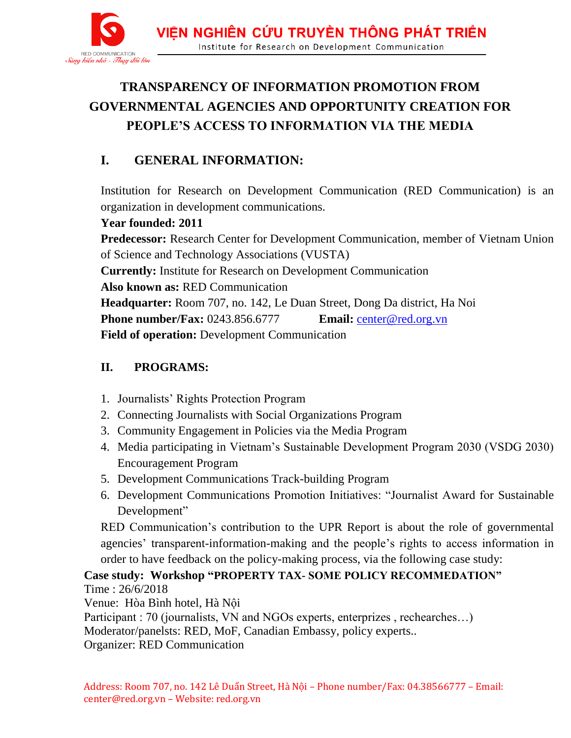

# **TRANSPARENCY OF INFORMATION PROMOTION FROM GOVERNMENTAL AGENCIES AND OPPORTUNITY CREATION FOR PEOPLE'S ACCESS TO INFORMATION VIA THE MEDIA**

## **I. GENERAL INFORMATION:**

Institution for Research on Development Communication (RED Communication) is an organization in development communications.

#### **Year founded: 2011**

**Predecessor:** Research Center for Development Communication, member of Vietnam Union of Science and Technology Associations (VUSTA)

**Currently:** Institute for Research on Development Communication

**Also known as:** RED Communication

**Headquarter:** Room 707, no. 142, Le Duan Street, Dong Da district, Ha Noi

**Phone number/Fax:** 0243.856.6777 **Email:** [center@red.org.vn](mailto:center@red.org.vn)

**Field of operation:** Development Communication

### **II. PROGRAMS:**

- 1. Journalists' Rights Protection Program
- 2. Connecting Journalists with Social Organizations Program
- 3. Community Engagement in Policies via the Media Program
- 4. Media participating in Vietnam's Sustainable Development Program 2030 (VSDG 2030) Encouragement Program
- 5. Development Communications Track-building Program
- 6. Development Communications Promotion Initiatives: "Journalist Award for Sustainable Development"

RED Communication's contribution to the UPR Report is about the role of governmental agencies' transparent-information-making and the people's rights to access information in order to have feedback on the policy-making process, via the following case study:

**Case study: Workshop "PROPERTY TAX- SOME POLICY RECOMMEDATION"** Time : 26/6/2018

Venue: Hòa Bình hotel, Hà Nội

Participant : 70 (journalists, VN and NGOs experts, enterprizes , rechearches…)

Moderator/panelsts: RED, MoF, Canadian Embassy, policy experts..

Organizer: RED Communication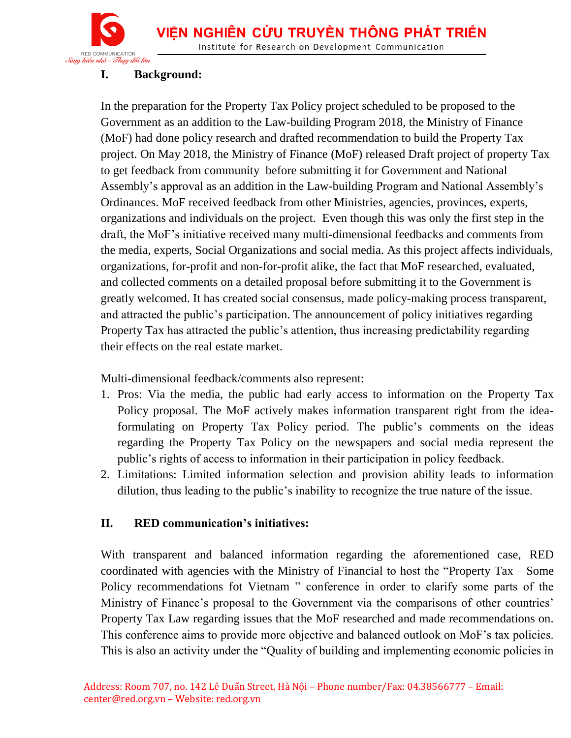

#### **I. Background:**

In the preparation for the Property Tax Policy project scheduled to be proposed to the Government as an addition to the Law-building Program 2018, the Ministry of Finance (MoF) had done policy research and drafted recommendation to build the Property Tax project. On May 2018, the Ministry of Finance (MoF) released Draft project of property Tax to get feedback from community before submitting it for Government and National Assembly's approval as an addition in the Law-building Program and National Assembly's Ordinances. MoF received feedback from other Ministries, agencies, provinces, experts, organizations and individuals on the project. Even though this was only the first step in the draft, the MoF's initiative received many multi-dimensional feedbacks and comments from the media, experts, Social Organizations and social media. As this project affects individuals, organizations, for-profit and non-for-profit alike, the fact that MoF researched, evaluated, and collected comments on a detailed proposal before submitting it to the Government is greatly welcomed. It has created social consensus, made policy-making process transparent, and attracted the public's participation. The announcement of policy initiatives regarding Property Tax has attracted the public's attention, thus increasing predictability regarding their effects on the real estate market.

Multi-dimensional feedback/comments also represent:

- 1. Pros: Via the media, the public had early access to information on the Property Tax Policy proposal. The MoF actively makes information transparent right from the ideaformulating on Property Tax Policy period. The public's comments on the ideas regarding the Property Tax Policy on the newspapers and social media represent the public's rights of access to information in their participation in policy feedback.
- 2. Limitations: Limited information selection and provision ability leads to information dilution, thus leading to the public's inability to recognize the true nature of the issue.

#### **II. RED communication's initiatives:**

With transparent and balanced information regarding the aforementioned case, RED coordinated with agencies with the Ministry of Financial to host the "Property Tax – Some Policy recommendations fot Vietnam " conference in order to clarify some parts of the Ministry of Finance's proposal to the Government via the comparisons of other countries' Property Tax Law regarding issues that the MoF researched and made recommendations on. This conference aims to provide more objective and balanced outlook on MoF's tax policies. This is also an activity under the "Quality of building and implementing economic policies in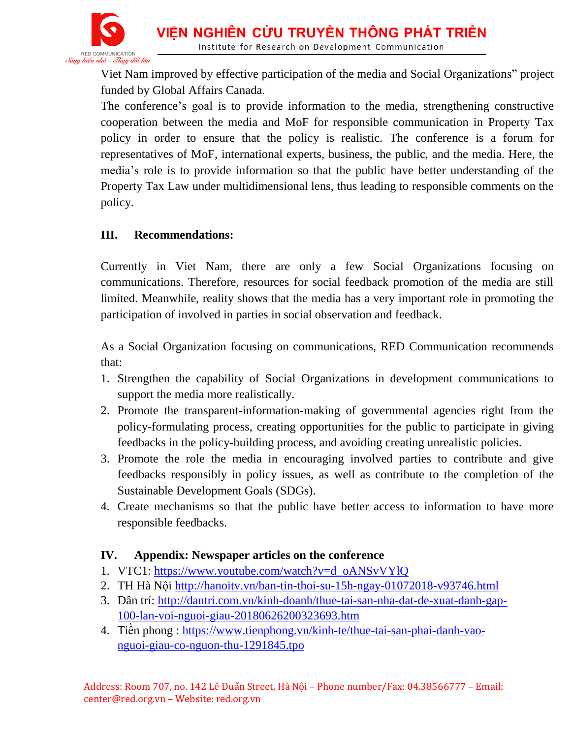

Viet Nam improved by effective participation of the media and Social Organizations" project funded by Global Affairs Canada.

The conference's goal is to provide information to the media, strengthening constructive cooperation between the media and MoF for responsible communication in Property Tax policy in order to ensure that the policy is realistic. The conference is a forum for representatives of MoF, international experts, business, the public, and the media. Here, the media's role is to provide information so that the public have better understanding of the Property Tax Law under multidimensional lens, thus leading to responsible comments on the policy.

#### **III. Recommendations:**

Currently in Viet Nam, there are only a few Social Organizations focusing on communications. Therefore, resources for social feedback promotion of the media are still limited. Meanwhile, reality shows that the media has a very important role in promoting the participation of involved in parties in social observation and feedback.

As a Social Organization focusing on communications, RED Communication recommends that:

- 1. Strengthen the capability of Social Organizations in development communications to support the media more realistically.
- 2. Promote the transparent-information-making of governmental agencies right from the policy-formulating process, creating opportunities for the public to participate in giving feedbacks in the policy-building process, and avoiding creating unrealistic policies.
- 3. Promote the role the media in encouraging involved parties to contribute and give feedbacks responsibly in policy issues, as well as contribute to the completion of the Sustainable Development Goals (SDGs).
- 4. Create mechanisms so that the public have better access to information to have more responsible feedbacks.

#### **IV. Appendix: Newspaper articles on the conference**

- 1. VTC1: [https://www.youtube.com/watch?v=d\\_oANSvVYlQ](https://www.youtube.com/watch?v=d_oANSvVYlQ)
- 2. TH Hà Nội<http://hanoitv.vn/ban-tin-thoi-su-15h-ngay-01072018-v93746.html>
- 3. Dân trí: [http://dantri.com.vn/kinh-doanh/thue-tai-san-nha-dat-de-xuat-danh-gap-](http://dantri.com.vn/kinh-doanh/thue-tai-san-nha-dat-de-xuat-danh-gap-100-lan-voi-nguoi-giau-20180626200323693.htm)[100-lan-voi-nguoi-giau-20180626200323693.htm](http://dantri.com.vn/kinh-doanh/thue-tai-san-nha-dat-de-xuat-danh-gap-100-lan-voi-nguoi-giau-20180626200323693.htm)
- 4. Tiền phong : [https://www.tienphong.vn/kinh-te/thue-tai-san-phai-danh-vao](https://www.tienphong.vn/kinh-te/thue-tai-san-phai-danh-vao-nguoi-giau-co-nguon-thu-1291845.tpo)[nguoi-giau-co-nguon-thu-1291845.tpo](https://www.tienphong.vn/kinh-te/thue-tai-san-phai-danh-vao-nguoi-giau-co-nguon-thu-1291845.tpo)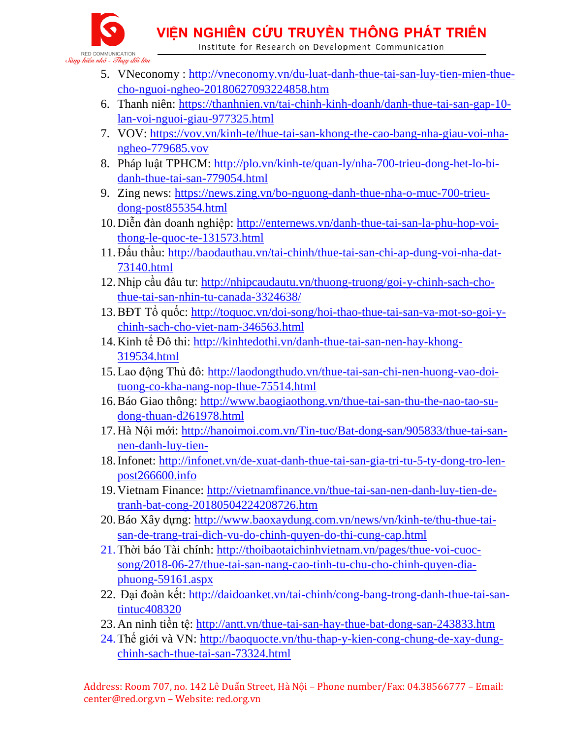VIÊN NGHIÊN CỨU TRUYỀN THÔNG PHÁT TRIỂN

Institute for Research on Development Communication



- 5. VNeconomy : [http://vneconomy.vn/du-luat-danh-thue-tai-san-luy-tien-mien-thue](http://vneconomy.vn/du-luat-danh-thue-tai-san-luy-tien-mien-thue-cho-nguoi-ngheo-20180627093224858.htm)[cho-nguoi-ngheo-20180627093224858.htm](http://vneconomy.vn/du-luat-danh-thue-tai-san-luy-tien-mien-thue-cho-nguoi-ngheo-20180627093224858.htm)
- 6. Thanh niên: [https://thanhnien.vn/tai-chinh-kinh-doanh/danh-thue-tai-san-gap-10](https://thanhnien.vn/tai-chinh-kinh-doanh/danh-thue-tai-san-gap-10-lan-voi-nguoi-giau-977325.html) [lan-voi-nguoi-giau-977325.html](https://thanhnien.vn/tai-chinh-kinh-doanh/danh-thue-tai-san-gap-10-lan-voi-nguoi-giau-977325.html)
- 7. VOV: [https://vov.vn/kinh-te/thue-tai-san-khong-the-cao-bang-nha-giau-voi-nha](https://vov.vn/kinh-te/thue-tai-san-khong-the-cao-bang-nha-giau-voi-nha-ngheo-779685.vov)[ngheo-779685.vov](https://vov.vn/kinh-te/thue-tai-san-khong-the-cao-bang-nha-giau-voi-nha-ngheo-779685.vov)
- 8. Pháp luật TPHCM: [http://plo.vn/kinh-te/quan-ly/nha-700-trieu-dong-het-lo-bi](http://plo.vn/kinh-te/quan-ly/nha-700-trieu-dong-het-lo-bi-danh-thue-tai-san-779054.html)[danh-thue-tai-san-779054.html](http://plo.vn/kinh-te/quan-ly/nha-700-trieu-dong-het-lo-bi-danh-thue-tai-san-779054.html)
- 9. Zing news: [https://news.zing.vn/bo-nguong-danh-thue-nha-o-muc-700-trieu](https://news.zing.vn/bo-nguong-danh-thue-nha-o-muc-700-trieu-dong-post855354.html)[dong-post855354.html](https://news.zing.vn/bo-nguong-danh-thue-nha-o-muc-700-trieu-dong-post855354.html)
- 10.Diễn đàn doanh nghiệp: [http://enternews.vn/danh-thue-tai-san-la-phu-hop-voi](http://enternews.vn/danh-thue-tai-san-la-phu-hop-voi-thong-le-quoc-te-131573.html)[thong-le-quoc-te-131573.html](http://enternews.vn/danh-thue-tai-san-la-phu-hop-voi-thong-le-quoc-te-131573.html)
- 11.Đấu thầu: [http://baodauthau.vn/tai-chinh/thue-tai-san-chi-ap-dung-voi-nha-dat-](http://baodauthau.vn/tai-chinh/thue-tai-san-chi-ap-dung-voi-nha-dat-73140.html)[73140.html](http://baodauthau.vn/tai-chinh/thue-tai-san-chi-ap-dung-voi-nha-dat-73140.html)
- 12.Nhịp cầu đâu tư: [http://nhipcaudautu.vn/thuong-truong/goi-y-chinh-sach-cho](http://nhipcaudautu.vn/thuong-truong/goi-y-chinh-sach-cho-thue-tai-san-nhin-tu-canada-3324638/)[thue-tai-san-nhin-tu-canada-3324638/](http://nhipcaudautu.vn/thuong-truong/goi-y-chinh-sach-cho-thue-tai-san-nhin-tu-canada-3324638/)
- 13.BĐT Tổ quốc: [http://toquoc.vn/doi-song/hoi-thao-thue-tai-san-va-mot-so-goi-y](http://toquoc.vn/doi-song/hoi-thao-thue-tai-san-va-mot-so-goi-y-chinh-sach-cho-viet-nam-346563.html)[chinh-sach-cho-viet-nam-346563.html](http://toquoc.vn/doi-song/hoi-thao-thue-tai-san-va-mot-so-goi-y-chinh-sach-cho-viet-nam-346563.html)
- 14.Kinh tế Đô thi: [http://kinhtedothi.vn/danh-thue-tai-san-nen-hay-khong-](http://kinhtedothi.vn/danh-thue-tai-san-nen-hay-khong-319534.html)[319534.html](http://kinhtedothi.vn/danh-thue-tai-san-nen-hay-khong-319534.html)
- 15.Lao động Thủ đô: [http://laodongthudo.vn/thue-tai-san-chi-nen-huong-vao-doi](http://laodongthudo.vn/thue-tai-san-chi-nen-huong-vao-doi-tuong-co-kha-nang-nop-thue-75514.html)[tuong-co-kha-nang-nop-thue-75514.html](http://laodongthudo.vn/thue-tai-san-chi-nen-huong-vao-doi-tuong-co-kha-nang-nop-thue-75514.html)
- 16.Báo Giao thông: [http://www.baogiaothong.vn/thue-tai-san-thu-the-nao-tao-su](http://www.baogiaothong.vn/thue-tai-san-thu-the-nao-tao-su-dong-thuan-d261978.html)[dong-thuan-d261978.html](http://www.baogiaothong.vn/thue-tai-san-thu-the-nao-tao-su-dong-thuan-d261978.html)
- 17.Hà Nội mới: [http://hanoimoi.com.vn/Tin-tuc/Bat-dong-san/905833/thue-tai-san](http://hanoimoi.com.vn/Tin-tuc/Bat-dong-san/905833/thue-tai-san-nen-danh-luy-tien-)[nen-danh-luy-tien-](http://hanoimoi.com.vn/Tin-tuc/Bat-dong-san/905833/thue-tai-san-nen-danh-luy-tien-)
- 18.Infonet: [http://infonet.vn/de-xuat-danh-thue-tai-san-gia-tri-tu-5-ty-dong-tro-len](http://infonet.vn/de-xuat-danh-thue-tai-san-gia-tri-tu-5-ty-dong-tro-len-post266600.info)[post266600.info](http://infonet.vn/de-xuat-danh-thue-tai-san-gia-tri-tu-5-ty-dong-tro-len-post266600.info)
- 19.Vietnam Finance: [http://vietnamfinance.vn/thue-tai-san-nen-danh-luy-tien-de](http://vietnamfinance.vn/thue-tai-san-nen-danh-luy-tien-de-tranh-bat-cong-20180504224208726.htm)[tranh-bat-cong-20180504224208726.htm](http://vietnamfinance.vn/thue-tai-san-nen-danh-luy-tien-de-tranh-bat-cong-20180504224208726.htm)
- 20.Báo Xây dựng: [http://www.baoxaydung.com.vn/news/vn/kinh-te/thu-thue-tai](http://www.baoxaydung.com.vn/news/vn/kinh-te/thu-thue-tai-san-de-trang-trai-dich-vu-do-chinh-quyen-do-thi-cung-cap.html)[san-de-trang-trai-dich-vu-do-chinh-quyen-do-thi-cung-cap.html](http://www.baoxaydung.com.vn/news/vn/kinh-te/thu-thue-tai-san-de-trang-trai-dich-vu-do-chinh-quyen-do-thi-cung-cap.html)
- 21.Thời báo Tài chính: [http://thoibaotaichinhvietnam.vn/pages/thue-voi-cuoc](http://thoibaotaichinhvietnam.vn/pages/thue-voi-cuoc-song/2018-06-27/thue-tai-san-nang-cao-tinh-tu-chu-cho-chinh-quyen-dia-phuong-59161.aspx%20%0d)[song/2018-06-27/thue-tai-san-nang-cao-tinh-tu-chu-cho-chinh-quyen-dia](http://thoibaotaichinhvietnam.vn/pages/thue-voi-cuoc-song/2018-06-27/thue-tai-san-nang-cao-tinh-tu-chu-cho-chinh-quyen-dia-phuong-59161.aspx%20%0d)[phuong-59161.aspx](http://thoibaotaichinhvietnam.vn/pages/thue-voi-cuoc-song/2018-06-27/thue-tai-san-nang-cao-tinh-tu-chu-cho-chinh-quyen-dia-phuong-59161.aspx%20%0d)
- 22. Đại đoàn kết: [http://daidoanket.vn/tai-chinh/cong-bang-trong-danh-thue-tai-san](http://daidoanket.vn/tai-chinh/cong-bang-trong-danh-thue-tai-san-tintuc408320)[tintuc408320](http://daidoanket.vn/tai-chinh/cong-bang-trong-danh-thue-tai-san-tintuc408320)
- 23. An ninh tiền tệ:<http://antt.vn/thue-tai-san-hay-thue-bat-dong-san-243833.htm>
- 24. Thế giới và VN: [http://baoquocte.vn/thu-thap-y-kien-cong-chung-de-xay-dung](http://baoquocte.vn/thu-thap-y-kien-cong-chung-de-xay-dung-chinh-sach-thue-tai-san-73324.html%20%0d)[chinh-sach-thue-tai-san-73324.html](http://baoquocte.vn/thu-thap-y-kien-cong-chung-de-xay-dung-chinh-sach-thue-tai-san-73324.html%20%0d)

Address: Room 707, no. 142 Lê Duẩn Street, Hà Nội – Phone number/Fax: 04.38566777 – Email: center@red.org.vn – Website: red.org.vn